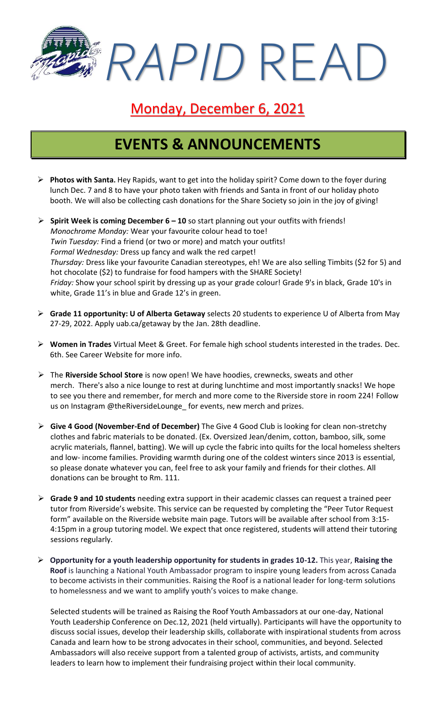*RAPID* READ

### Monday, December 6, 2021

## **EVENTS & ANNOUNCEMENTS**

- ➢ **Photos with Santa.** Hey Rapids, want to get into the holiday spirit? Come down to the foyer during lunch Dec. 7 and 8 to have your photo taken with friends and Santa in front of our holiday photo booth. We will also be collecting cash donations for the Share Society so join in the joy of giving!
- ➢ **Spirit Week is coming December 6 – 10** so start planning out your outfits with friends! *Monochrome Monday:* Wear your favourite colour head to toe! *Twin Tuesday:* Find a friend (or two or more) and match your outfits! *Formal Wednesday:* Dress up fancy and walk the red carpet! *Thursday:* Dress like your favourite Canadian stereotypes, eh! We are also selling Timbits (\$2 for 5) and hot chocolate (\$2) to fundraise for food hampers with the SHARE Society! *Friday:* Show your school spirit by dressing up as your grade colour! Grade 9's in black, Grade 10's in white, Grade 11's in blue and Grade 12's in green.
- ➢ **Grade 11 opportunity: U of Alberta Getaway** selects 20 students to experience U of Alberta from May 27-29, 2022. Apply uab.ca/getaway by the Jan. 28th deadline.
- ➢ **Women in Trades** Virtual Meet & Greet. For female high school students interested in the trades. Dec. 6th. See Career Website for more info.
- ➢ The **Riverside School Store** is now open! We have hoodies, crewnecks, sweats and other merch. There's also a nice lounge to rest at during lunchtime and most importantly snacks! We hope to see you there and remember, for merch and more come to the Riverside store in room 224! Follow us on Instagram @theRiversideLounge\_ for events, new merch and prizes.
- ➢ **Give 4 Good (November-End of December)** The Give 4 Good Club is looking for clean non-stretchy clothes and fabric materials to be donated. (Ex. Oversized Jean/denim, cotton, bamboo, silk, some acrylic materials, flannel, batting). We will up cycle the fabric into quilts for the local homeless shelters and low- income families. Providing warmth during one of the coldest winters since 2013 is essential, so please donate whatever you can, feel free to ask your family and friends for their clothes. All donations can be brought to Rm. 111.
- ➢ **Grade 9 and 10 students** needing extra support in their academic classes can request a trained peer tutor from Riverside's website. This service can be requested by completing the "Peer Tutor Request form" available on the Riverside website main page. Tutors will be available after school from 3:15- 4:15pm in a group tutoring model. We expect that once registered, students will attend their tutoring sessions regularly.
- ➢ **Opportunity for a youth leadership opportunity for students in grades 10-12.** This year, **Raising the Roof** is launching a National Youth Ambassador program to inspire young leaders from across Canada to become activists in their communities. Raising the Roof is a national leader for long-term solutions to homelessness and we want to amplify youth's voices to make change.

Selected students will be trained as Raising the Roof Youth Ambassadors at our one-day, National Youth Leadership Conference on Dec.12, 2021 (held virtually). Participants will have the opportunity to discuss social issues, develop their leadership skills, collaborate with inspirational students from across Canada and learn how to be strong advocates in their school, communities, and beyond. Selected Ambassadors will also receive support from a talented group of activists, artists, and community leaders to learn how to implement their fundraising project within their local community.